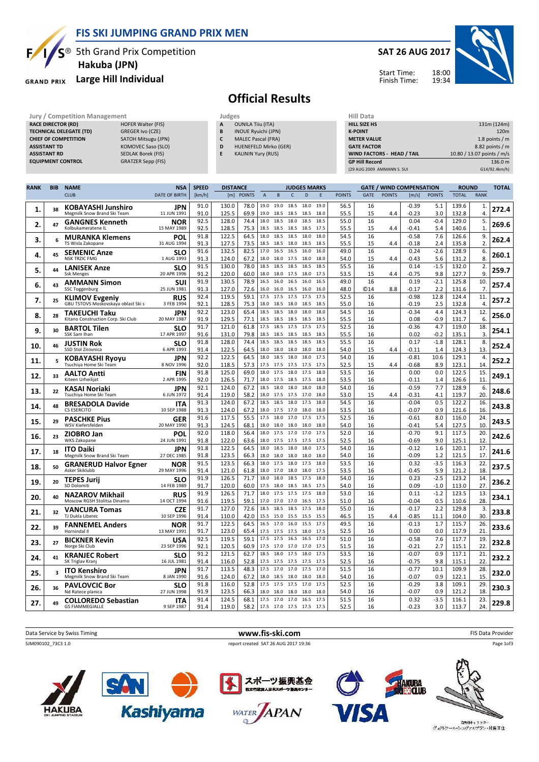FIS SKI JUMPING GRAND PRIX MEN

 $S^{\circledast}$  5th Grand Prix Competition Hakuba (JPN)

## GRAND PRIX Large Hill Individual

**HAKUBA** 

 $\mathbf{F}$ 

## SAT 26 AUG 2017



Start Time: Finish Time:

## Official Results

| <b>RANK</b><br><b>NAME</b><br><b>RIR</b> | <b>NSA</b><br><b>SDEED</b> |   | <b>DISTANCE</b>           | <b>ILIDGES MARKS</b>       | <b>GATE / WIND COMPENSATION</b>   | <b>ROLIND</b>              | <b>TOTAL</b>     |
|------------------------------------------|----------------------------|---|---------------------------|----------------------------|-----------------------------------|----------------------------|------------------|
|                                          |                            |   |                           |                            |                                   |                            |                  |
|                                          |                            |   |                           |                            | (29 AUG 2009 AMMANN S. SUI        |                            | G14/92.4km/h)    |
| <b>EQUIPMENT CONTROL</b>                 | <b>GRATZER Sepp (FIS)</b>  |   |                           |                            | <b>GP Hill Record</b>             |                            | 136.0 m          |
| <b>ASSISTANT RD</b>                      | <b>SEDLAK Borek (FIS)</b>  | E | <b>KALININ Yury (RUS)</b> |                            | <b>WIND FACTORS - HEAD / TAIL</b> | 10.80 / 13.07 points / m/s |                  |
| <b>ASSISTANT TD</b>                      | KOMOVEC Saso (SLO)         | D |                           | HUENEFELD Mirko (GER)      | <b>GATE FACTOR</b>                |                            | 8.82 points $/m$ |
| <b>CHIEF OF COMPETITION</b>              | SATOH Mitsugu (JPN)        | c |                           | <b>MALEC Pascal (FRA)</b>  | <b>METER VALUE</b>                |                            | 1.8 points $/m$  |
| <b>TECHNICAL DELEGATE (TD)</b>           | GREGER Ivo (CZE)           | B |                           | <b>INOUE Ryuichi (JPN)</b> | <b>K-POINT</b>                    |                            | 120 <sub>m</sub> |
| <b>RACE DIRECTOR (RD)</b>                | <b>HOFER Walter (FIS)</b>  | A | <b>OUNILA Tiiu (ITA)</b>  |                            | <b>HILL SIZE HS</b>               |                            | 131m (124m)      |
| Jury / Competition Management            |                            |   | Judges                    |                            | Hill Data                         |                            |                  |
|                                          |                            |   |                           |                            |                                   |                            |                  |

| RANK | <b>BIB</b> | <b>NAME</b>                                                  | <b>NSA</b>                | <b>SPEED</b> | <b>DISTANCE</b> |               |                |              |              | <b>JUDGES MARKS</b> |              |               |             |               | <b>GATE / WIND COMPENSATION</b> |                  | <b>ROUND</b>   |                | <b>TOTAL</b> |
|------|------------|--------------------------------------------------------------|---------------------------|--------------|-----------------|---------------|----------------|--------------|--------------|---------------------|--------------|---------------|-------------|---------------|---------------------------------|------------------|----------------|----------------|--------------|
|      |            | <b>CLUB</b>                                                  | <b>DATE OF BIRTH</b>      | [km/h]       | [m]             | <b>POINTS</b> | $\overline{A}$ | B            | $\mathsf{C}$ | D                   | E            | <b>POINTS</b> | <b>GATE</b> | <b>POINTS</b> | [m/s]                           | <b>POINTS</b>    | <b>TOTAL</b>   | <b>RANK</b>    |              |
| 1.   | 38         | <b>KOBAYASHI Junshiro</b><br>Megmilk Snow Brand Ski Team     | JPN<br>11 JUN 1991        | 91.0<br>91.0 | 130.0<br>125.5  | 78.0<br>69.9  | 19.0<br>19.0   | 19.0<br>18.5 | 18.5<br>18.5 | 18.0<br>18.5        | 19.0<br>18.0 | 56.5<br>55.5  | 16<br>15    | 4.4           | $-0.39$<br>$-0.23$              | 5.1<br>3.0       | 139.6<br>132.8 | 1.<br>4        | 272.4        |
| 2.   | 47         | <b>GANGNES Kenneth</b><br>Kolbukameratene IL                 | NOR<br>15 MAY 1989        | 92.5<br>92.5 | 128.0<br>128.5  | 74.4<br>75.3  | 18.0<br>18.5   | 18.5<br>18.5 | 18.0<br>18.5 | 18.5<br>18.5        | 18.5<br>17.5 | 55.0<br>55.5  | 16<br>15    | 4.4           | 0.04<br>$-0.41$                 | $-0.4$<br>5.4    | 129.0<br>140.6 | 5.<br>1.       | 269.6        |
|      |            | <b>MURANKA Klemens</b>                                       | POL                       | 91.8         | 122.5           | 64.5          | 18.0           | 18.5         | 18.5         | 18.0                | 18.0         | 54.5          | 16          |               | $-0.58$                         | 7.6              | 126.6          | 9.             |              |
| 3.   | 6          | TS Wisla Zakopane                                            | 31 AUG 1994               | 91.3         | 127.5           | 73.5          | 18.5           | 18.5         | 18.0         | 18.5                | 18.5         | 55.5          | 15          | 4.4           | $-0.18$                         | 2.4              | 135.8          | $\overline{2}$ | 262.4        |
| 4.   | 45         | <b>SEMENIC Anze</b>                                          | SLO                       | 91.6         | 132.5           | 82.5          | 17.0           | 16.5         | 16.5         | 16.0                | 16.0         | 49.0          | 16          |               | 0.24                            | $-2.6$           | 128.9          | 6.             | 260.1        |
|      |            | <b>NSK TRZIC FMG</b>                                         | 1 AUG 1993                | 91.3<br>91.5 | 124.0<br>130.0  | 67.2<br>78.0  | 18.0<br>18.5   | 18.0<br>18.5 | 17.5<br>18.5 | 18.0<br>18.5        | 18.0<br>18.5 | 54.0<br>55.5  | 15<br>16    | 4.4           | -0.43<br>0.14                   | 5.6<br>$-1.5$    | 131.2<br>132.0 | 8.<br>2.       |              |
| 5.   | 44         | <b>LANISEK Anze</b><br><b>Ssk Menges</b>                     | <b>SLO</b><br>20 APR 1996 | 91.2         | 120.0           | 60.0          | 18.0           | 18.0         | 17.5         | 18.0                | 17.5         | 53.5          | 15          | 4.4           | $-0.75$                         | 9.8              | 127.7          | 9.             | 259.7        |
| 6.   | 43         | <b>AMMANN Simon</b>                                          | SUI                       | 91.9         | 130.5           | 78.9          | 16.5           | 16.0         | 16.5         | 16.0                | 16.5         | 49.0          | 16          |               | 0.19                            | $-2.1$           | 125.8          | 10             | 257.4        |
|      |            | <b>SSC Toggenburg</b>                                        | 25 JUN 1981               | 91.3         | 127.0           | 72.6          | 16.0           | 16.0         | 16.5         | 16.0                | 16.0         | 48.0          | <b>©14</b>  | 8.8           | -0.17                           | 2.2              | 131.6          | 7.             |              |
| 7.   | 25         | <b>KLIMOV Evgeniy</b><br>GBU TSTOVS Moskovskaya oblast Ski s | <b>RUS</b><br>3 FEB 1994  | 92.4<br>92.1 | 119.5<br>128.5  | 59.1<br>75.3  | 17.5<br>18.0   | 17.5<br>18.5 | 17.5<br>18.0 | 17.5<br>18.5        | 17.5<br>18.5 | 52.5<br>55.0  | 16<br>16    |               | $-0.98$<br>$-0.19$              | 12.8<br>2.5      | 124.4<br>132.8 | 11.<br>4       | 257.2        |
| 8.   | 28         | <b>TAKEUCHI Taku</b>                                         | <b>JPN</b>                | 92.2         | 123.0           | 65.4          | 18.5           | 18.5         | 18.0         | 18.0                | 18.0         | 54.5          | 16          |               | $-0.34$                         | 4.4              | 124.3          | 12.            | 256.0        |
|      |            | Kitano Construction Corp. Ski Club                           | 20 MAY 1987               | 91.9<br>91.7 | 129.5<br>121.0  | 77.1<br>61.8  | 18.5<br>17.5   | 18.5<br>18.5 | 18.5<br>17.5 | 18.5<br>17.5        | 18.5<br>17.5 | 55.5<br>52.5  | 16<br>16    |               | 0.08<br>$-0.36$                 | $-0.9$<br>4.7    | 131.7<br>119.0 | 6.<br>18       |              |
| 9.   | 30         | <b>BARTOL Tilen</b><br>SSK Sam Ihan                          | SLO<br>17 APR 1997        | 91.6         | 131.0           | 79.8          | 18.5           | 18.5         | 18.5         | 18.5                | 18.5         | 55.5          | 16          |               | 0.02                            | $-0.2$           | 135.1          | 3              | 254.1        |
|      |            | <b>JUSTIN Rok</b>                                            | SLO                       | 91.8         | 128.0           | 74.4          | 18.5           | 18.5         | 18.5         | 18.5                | 18.5         | 55.5          | 16          |               | 0.17                            | $-1.8$           | 128.1          | 8.             |              |
| 10.  | 46         | SSD Stol Zirovnica                                           | 6 APR 1993                | 91.4         | 122.5           | 64.5          | 18.0           | 18.0         | 18.0         | 18.0                | 18.0         | 54.0          | 15          | 4.4           | $-0.11$                         | 1.4              | 124.3          | 13.            | 252.4        |
| 11.  | 5          | <b>KOBAYASHI Ryoyu</b>                                       | JPN<br>8 NOV 1996         | 92.2<br>92.0 | 122.5<br>118.5  | 64.5<br>57.3  | 18.0<br>17.5   | 18.5<br>17.5 | 18.0         | 18.0<br>17.5        | 17.5<br>17.5 | 54.0<br>52.5  | 16<br>15    |               | $-0.81$<br>$-0.68$              | 10.6<br>8.9      | 129.1<br>123.1 | 4.<br>14.      | 252.2        |
|      |            | Tsuchiya Home Ski Team<br><b>AALTO Antti</b>                 | <b>FIN</b>                | 91.8         | 125.0           | 69.0          | 18.0           | 17.5         | 17.5<br>18.0 | 17.5                | 18.0         | 53.5          | 16          | 4.4           | 0.00                            | 0.0              | 122.5          | 15             |              |
| 12.  | 33         | Kiteen Urheilijat                                            | 2 APR 1995                | 92.0         | 126.5           | 71.7          | 18.0           | 17.5         | 18.5         | 17.5                | 18.0         | 53.5          | 16          |               | $-0.11$                         | 1.4              | 126.6          | 11             | 249.1        |
| 13.  | 22         | KASAI Noriaki                                                | <b>JPN</b>                | 92.1         | 124.0           | 67.2          | 18.5           | 18.0         | 18.0         | 18.0                | 18.0         | 54.0          | 16          |               | $-0.59$                         | 7.7              | 128.9          | 6.             | 248.6        |
|      |            | Tsuchiya Home Ski Team                                       | 6 JUN 1972                | 91.4         | 119.0           | 58.2          | 18.0           | 17.5         | 17.5         | 17.0                | 18.0         | 53.0          | 15          | 4.4           | $-0.31$                         | 4.1              | 119.7          | 20             |              |
| 14.  | 48         | <b>BRESADOLA Davide</b><br><b>CS ESERCITO</b>                | <b>ITA</b><br>10 SEP 1988 | 91.3<br>91.3 | 124.0<br>124.0  | 67.2<br>67.2  | 18.5<br>18.0   | 18.5<br>17.5 | 18.0<br>17.0 | 17.5<br>18.0        | 18.0<br>18.0 | 54.5<br>53.5  | 16<br>16    |               | $-0.04$<br>$-0.07$              | 0.5<br>0.9       | 122.2<br>121.6 | 16.<br>16      | 243.8        |
|      |            | <b>PASCHKE Pius</b>                                          | GER                       | 91.6         | 117.5           | 55.5          | 17.5           | 18.0         | 17.0         | 17.5                | 17.5         | 52.5          | 16          |               | $-0.61$                         | 8.0              | 116.0          | 24             |              |
| 15.  | 29         | WSV Kiefersfelden                                            | 20 MAY 1990               | 91.3         | 124.5           | 68.1          | 18.0           | 18.0         | 18.0         | 18.0                | 18.0         | 54.0          | 16          |               | -0.41                           | 5.4              | 127.5          | 10             | 243.5        |
| 16.  | 23         | <b>ZIOBRO Jan</b>                                            | POL                       | 92.0         | 118.0           | 56.4          | 18.0           | 17.5         | 17.0         | 17.0                | 17.5         | 52.0          | 16          |               | $-0.70$                         | 9.1              | 117.5          | 20.            | 242.6        |
|      |            | <b>WKS Zakopane</b>                                          | 24 JUN 1991<br>JPN        | 91.8<br>91.8 | 122.0<br>122.5  | 63.6<br>64.5  | 18.0<br>18.0   | 17.5<br>18.5 | 17.5<br>18.0 | 17.5<br>18.0        | 17.5<br>17.5 | 52.5<br>54.0  | 16<br>16    |               | $-0.69$<br>$-0.12$              | 9.0<br>1.6       | 125.1<br>120.1 | 12<br>17.      |              |
| 17.  | 18         | <b>ITO Daiki</b><br>Megmilk Snow Brand Ski Team              | 27 DEC 1985               | 91.8         | 123.5           | 66.3          | 18.0           | 18.0         | 18.0         | 18.0                | 18.0         | 54.0          | 16          |               | $-0.09$                         | 1.2              | 121.5          | 17             | 241.6        |
| 18.  | 50         | <b>GRANERUD Halvor Egner</b>                                 | NOR                       | 91.5         | 123.5           | 66.3          | 18.0           | 17.5         | 18.0         | 17.5                | 18.0         | 53.5          | 16          |               | 0.32                            | $-3.5$           | 116.3          | 22.            | 237.5        |
|      |            | Asker Skiklubb                                               | 29 MAY 1996               | 91.4         | 121.0           | 61.8          | 18.0           | 17.0         | 18.0         | 18.0                | 17.5         | 53.5          | 16          |               | $-0.45$                         | 5.9              | 121.2          | 18             |              |
| 19.  | 20         | <b>TEPES Jurij</b><br>SD Dolomiti                            | SLO<br>14 FEB 1989        | 91.9<br>91.7 | 126.5<br>120.0  | 71.7<br>60.0  | 18.0<br>17.5   | 18.0<br>18.0 | 18.5<br>18.5 | 17.5<br>18.5        | 18.0<br>17.5 | 54.0<br>54.0  | 16<br>16    |               | 0.23<br>0.09                    | $-2.5$<br>$-1.0$ | 123.2<br>113.0 | 14<br>27.      | 236.2        |
|      |            | <b>NAZAROV Mikhail</b>                                       | <b>RUS</b>                | 91.9         | 126.5           | 71.7          | 18.0           | 17.5         | 17.5         | 17.5                | 18.0         | 53.0          | 16          |               | 0.11                            | $-1.2$           | 123.5          | 13.            |              |
| 20.  | 40         | Moscow RGSH Stolitsa Dinamo                                  | 14 OCT 1994               | 91.6         | 119.5           | 59.1          | 17.0           | 17.0         | 17.0         | 16.5                | 17.5         | 51.0          | 16          |               | $-0.04$                         | 0.5              | 110.6          | 28             | 234.1        |
| 21.  | 32         | <b>VANCURA Tomas</b><br>TJ Dukla Liberec                     | <b>CZE</b><br>10 SEP 1996 | 91.7<br>91.4 | 127.0<br>110.0  | 72.6<br>42.0  | 18.5<br>15.5   | 18.5<br>15.0 | 18.5<br>15.5 | 17.5<br>15.5        | 18.0<br>15.5 | 55.0<br>46.5  | 16<br>15    | 4.4           | $-0.17$<br>$-0.85$              | 2.2<br>11.1      | 129.8<br>104.0 | 3.<br>30       | 233.8        |
| 22.  | 39         | <b>FANNEMEL Anders</b>                                       | NOR                       | 91.7         | 122.5           | 64.5          | 16.5           | 17.0         | 16.0         | 15.5                | 17.5         | 49.5          | 16          |               | $-0.13$                         | 1.7              | 115.7          | 26             | 233.6        |
|      |            | Hornindal II                                                 | 13 MAY 1991               | 91.7         | 123.0           | 65.4          | 17.5           | 17.5         | 17.5         | 18.0                | 17.5         | 52.5          | 16          |               | 0.00                            | 0.0              | 117.9          | 21             |              |
| 23.  | 27         | <b>BICKNER Kevin</b>                                         | USA<br>23 SEP 1996        | 92.5<br>92.1 | 119.5<br>120.5  | 59.1<br>60.9  | 17.5<br>17.5   | 17.5<br>17.0 | 16.5<br>17.0 | 16.5<br>17.0        | 17.0<br>17.5 | 51.0<br>51.5  | 16<br>16    |               | $-0.58$<br>$-0.21$              | 7.6<br>2.7       | 117.7<br>115.1 | 19<br>22       | 232.8        |
|      |            | Norge Ski Club<br><b>KRANJEC Robert</b>                      | <b>SLO</b>                | 91.2         | 121.5           | 62.7          | 18.5           | 18.0         | 17.5         | 18.0                | 17.5         | 53.5          | 16          |               | $-0.07$                         | 0.9              | 117.1          | 21.            |              |
| 24.  | 41         | SK Triglav Kranj                                             | 16 JUL 1981               | 91.4         | 116.0           | 52.8          | 17.5           | 17.5         | 17.5         | 17.5                | 17.5         | 52.5          | 16          |               | $-0.75$                         | 9.8              | 115.1          | 22             | 232.2        |
| 25.  | 3          | <b>ITO Kenshiro</b>                                          | JPN                       | 91.7         | 113.5           | 48.3          | 17.5           | 17.0         | 17.0         | 17.5                | 17.0         | 51.5          | 16          |               | $-0.77$                         | 10.1             | 109.9          | 28             | 232.0        |
|      |            | Megmilk Snow Brand Ski Team                                  | 8 JAN 1990                | 91.6         | 124.0           | 67.2          | 18.0           | 18.5         | 18.0         | 18.0                | 18.0         | 54.0          | 16          |               | $-0.07$                         | 0.9              | 122.1          | 15             |              |
| 26.  | 36         | <b>PAVLOVCIC Bor</b><br>Nd Ratece planica                    | SLO<br>27 JUN 1998        | 91.8<br>91.9 | 116.0<br>123.5  | 52.8<br>66.3  | 17.5<br>18.0   | 17.5<br>18.0 | 17.5<br>18.0 | 17.0<br>18.0        | 17.5<br>18.0 | 52.5<br>54.0  | 16<br>16    |               | $-0.29$<br>$-0.07$              | 3.8<br>0.9       | 109.1<br>121.2 | 29<br>18       | 230.3        |
|      |            | <b>COLLOREDO Sebastian</b>                                   | <b>ITA</b>                | 91.4         | 124.5           | 68.1          | 17.5           | 17.0         | 17.0         | 16.5                | 17.5         | 51.5          | 16          |               | 0.32                            | $-3.5$           | 116.1          | 23.            |              |
| 27.  | 49         | <b>GS FIAMMEGIALLE</b>                                       | 9 SEP 1987                | 91.4         | 119.0           | 58.2          | 17.5           | 17.0 17.5    |              | 17.5                | 17.5         | 52.5          | 16          |               | $-0.23$                         | 3.0              | 113.7          | 24.            | 229.8        |





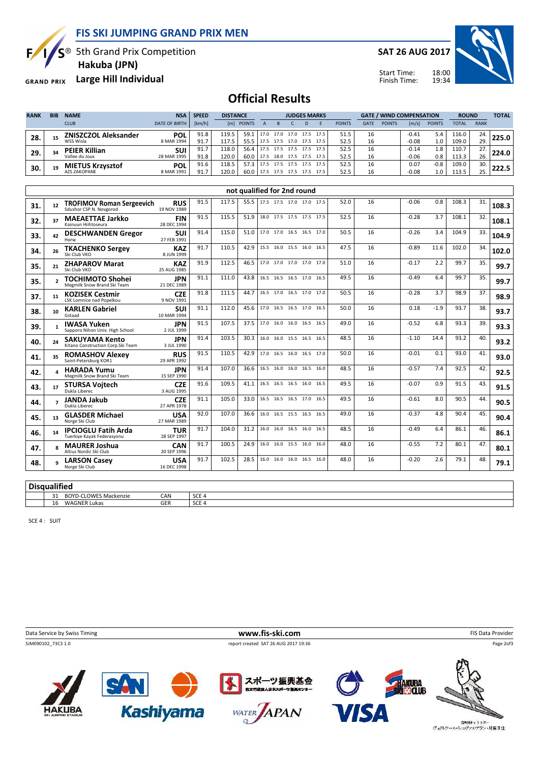FIS SKI JUMPING GRAND PRIX MEN

 $S^{\circledast}$  5th Grand Prix Competition

F

GRAND PRIX Large Hill Individual

Hakuba (JPN)

SAT 26 AUG 2017

18:00 19:34



Start Time: Finish Time:

## Official Results

| <b>RANK</b> | <b>BIB</b> | <b>NAME</b>                 | <b>NSA</b>           | <b>SPEED</b> | <b>DISTANCE</b> |               | <b>JUDGES MARKS</b> |      |           |      |      | <b>GATE / WIND COMPENSATION</b> |             |               |         | <b>ROUND</b>  |              | <b>TOTAL</b> |       |
|-------------|------------|-----------------------------|----------------------|--------------|-----------------|---------------|---------------------|------|-----------|------|------|---------------------------------|-------------|---------------|---------|---------------|--------------|--------------|-------|
|             |            | <b>CLUB</b>                 | <b>DATE OF BIRTH</b> | [km/h]       | [m]             | <b>POINTS</b> |                     |      |           | D    |      | <b>POINTS</b>                   | <b>GATE</b> | <b>POINTS</b> | [m/s]   | <b>POINTS</b> | <b>TOTAL</b> | <b>RANK</b>  |       |
| 28.         |            | <b>ZNISZCZOL Aleksander</b> | <b>POL</b>           | 91.8         | 119.5           | 59.1          | 17.0                | 17.0 | 17.0      | 17.5 | 17.5 | 51.5                            | 16          |               | $-0.41$ | 5.4           | 116.0        | 24.          |       |
|             |            | WSS Wisla                   | 8 MAR 1994           | 91.7         | 117.5           | 55.5          |                     | 17.5 | 17.0      | 17.5 | 17.5 | 52.5                            | 16          |               | $-0.08$ | 1.0           | 109.0        | 29.          |       |
| 29.         | 34         | <b>PEIER Killian</b>        | suı                  | 91.7         | 118.0           | 56.4          | 17.5                | 17.5 | 17.5      | 17.5 | 17.5 | 52.5                            | 16          |               | $-0.14$ | 1.8           | 110.7        | 27.          | 224.0 |
|             |            | Vallee du Joux              | 28 MAR 1995          | 91.8         | 120.0           | 60.0          | 17.5                | 18.0 | 17.5 17.5 |      | 17.5 | 52.5                            | 16          |               | $-0.06$ | 0.8           | 113.3        | 26.          |       |
| 30.         | 19         | <b>MIETUS Krzysztof</b>     | <b>POL</b>           | 91.6         | 118.5           | 57.3          | 17.5                | 17.5 | 17.5 17.5 |      | 17.5 | 52.5                            | 16          |               | 0.07    | $-0.8$        | 109.0        | 30.          |       |
|             |            | <b>AZS ZAKOPANE</b>         | 8 MAR 1991           | 91.7         | 120.0           | 60.0          | 17.5                | 17.5 | 17.5 17.5 |      | 17.5 | 52.5                            | 16          |               | $-0.08$ | 1.0           | 113.5        | 25.          |       |

|     | not qualified for 2nd round |                                                             |                           |      |       |      |                                 |                          |  |  |      |      |    |         |        |       |     |       |
|-----|-----------------------------|-------------------------------------------------------------|---------------------------|------|-------|------|---------------------------------|--------------------------|--|--|------|------|----|---------|--------|-------|-----|-------|
| 31. | 12                          | <b>TROFIMOV Roman Sergeevich</b><br>Sdushor CSP N. Novgorod | <b>RUS</b><br>19 NOV 1989 | 91.5 | 117.5 |      | 55.5   17.5 17.5 17.0 17.0 17.5 |                          |  |  |      | 52.0 | 16 | $-0.06$ | 0.8    | 108.3 | 31. | 108.3 |
| 32. | 37                          | <b>MAEAETTAE Jarkko</b><br>Kainuun Hiihtoseura              | <b>FIN</b><br>28 DEC 1994 | 91.5 | 115.5 | 51.9 |                                 | 18.0 17.5 17.5 17.5 17.5 |  |  |      | 52.5 | 16 | $-0.28$ | 3.7    | 108.1 | 32. | 108.1 |
| 33. | 42                          | <b>DESCHWANDEN Gregor</b><br>Horw                           | <b>SUI</b><br>27 FEB 1991 | 91.4 | 115.0 | 51.0 |                                 | 17.0 17.0 16.5 16.5 17.0 |  |  |      | 50.5 | 16 | $-0.26$ | 3.4    | 104.9 | 33. | 104.9 |
| 34. | 26                          | <b>TKACHENKO Sergey</b><br>Ski Club VKO                     | <b>KAZ</b><br>8 JUN 1999  | 91.7 | 110.5 | 42.9 |                                 | 15.5 16.0 15.5 16.0      |  |  | 16.5 | 47.5 | 16 | $-0.89$ | 11.6   | 102.0 | 34. | 102.0 |
| 35. | 21                          | <b>ZHAPAROV Marat</b><br>Ski Club VKO                       | <b>KAZ</b><br>25 AUG 1985 | 91.9 | 112.5 | 46.5 | 17.0 17.0 17.0 17.0             |                          |  |  | 17.0 | 51.0 | 16 | $-0.17$ | 2.2    | 99.7  | 35. | 99.7  |
| 35. |                             | <b>TOCHIMOTO Shohei</b><br>Megmilk Snow Brand Ski Team      | <b>JPN</b><br>21 DEC 1989 | 91.1 | 111.0 | 43.8 |                                 | 16.5 16.5 16.5 17.0 16.5 |  |  |      | 49.5 | 16 | $-0.49$ | 6.4    | 99.7  | 35. | 99.7  |
| 37. | 11                          | <b>KOZISEK Cestmir</b><br>LSK Lomnice nad Popelkou          | <b>CZE</b><br>9 NOV 1991  | 91.8 | 111.5 | 44.7 |                                 | 16.5 17.0 16.5 17.0 17.0 |  |  |      | 50.5 | 16 | $-0.28$ | 3.7    | 98.9  | 37. | 98.9  |
| 38. | 10                          | <b>KARLEN Gabriel</b><br>Gstaad                             | <b>SUI</b><br>10 MAR 1994 | 91.1 | 112.0 | 45.6 |                                 | 17.0 16.5 16.5 17.0 16.5 |  |  |      | 50.0 | 16 | 0.18    | $-1.9$ | 93.7  | 38. | 93.7  |
| 39. |                             | <b>IWASA Yuken</b><br>Sapporo Nihon Univ. High School       | <b>JPN</b><br>2 JUL 1999  | 91.5 | 107.5 | 37.5 |                                 | 17.0 16.0 16.0 16.5 16.5 |  |  |      | 49.0 | 16 | $-0.52$ | 6.8    | 93.3  | 39. | 93.3  |
| 40. | 24                          | <b>SAKUYAMA Kento</b><br>Kitano Construction Corp.Ski Team  | <b>JPN</b><br>3 JUL 1990  | 91.4 | 103.5 | 30.3 |                                 | 16.0 16.0 15.5 16.5 16.5 |  |  |      | 48.5 | 16 | $-1.10$ | 14.4   | 93.2  | 40. | 93.2  |
| 41. | 35                          | <b>ROMASHOV Alexey</b><br>Saint-Petersburg KOR1             | <b>RUS</b><br>29 APR 1992 | 91.5 | 110.5 | 42.9 |                                 | 17.0 16.5 16.0 16.5 17.0 |  |  |      | 50.0 | 16 | $-0.01$ | 0.1    | 93.0  | 41. | 93.0  |
| 42. |                             | <b>HARADA Yumu</b><br>Megmilk Snow Brand Ski Team           | <b>JPN</b><br>15 SEP 1990 | 91.4 | 107.0 | 36.6 |                                 | 16.5 16.0 16.0 16.5 16.0 |  |  |      | 48.5 | 16 | $-0.57$ | 7.4    | 92.5  | 42. | 92.5  |
| 43. | 17                          | <b>STURSA Voitech</b><br>Dukla Liberec                      | <b>CZE</b><br>3 AUG 1995  | 91.6 | 109.5 | 41.1 |                                 | 16.5 16.5 16.5 16.0 16.5 |  |  |      | 49.5 | 16 | $-0.07$ | 0.9    | 91.5  | 43. | 91.5  |
| 44. |                             | <b>JANDA Jakub</b><br>Dukla Liberec                         | <b>CZE</b><br>27 APR 1978 | 91.1 | 105.0 | 33.0 |                                 | 16.5 16.5 16.5 17.0 16.5 |  |  |      | 49.5 | 16 | $-0.61$ | 8.0    | 90.5  | 44. | 90.5  |
| 45. | 13                          | <b>GLASDER Michael</b><br>Norge Ski Club                    | <b>USA</b><br>27 MAR 1989 | 92.0 | 107.0 | 36.6 |                                 | 16.0 16.5 15.5 16.5 16.5 |  |  |      | 49.0 | 16 | $-0.37$ | 4.8    | 90.4  | 45. | 90.4  |
| 46. | 14                          | <b>IPCIOGLU Fatih Arda</b><br>Tuerkiye Kayak Federasyonu    | <b>TUR</b><br>28 SEP 1997 | 91.7 | 104.0 | 31.2 |                                 | 16.0 16.0 16.5 16.0      |  |  | 16.5 | 48.5 | 16 | $-0.49$ | 6.4    | 86.1  | 46. | 86.1  |
| 47. |                             | <b>MAURER Joshua</b><br>Altius Nordic Ski Club              | CAN<br>20 SEP 1996        | 91.7 | 100.5 | 24.9 |                                 | 16.0 16.0 15.5 16.0      |  |  | 16.0 | 48.0 | 16 | $-0.55$ | 7.2    | 80.1  | 47. | 80.1  |
| 48. |                             | <b>LARSON Casey</b><br>Norge Ski Club                       | <b>USA</b><br>16 DEC 1998 | 91.7 | 102.5 | 28.5 |                                 | 16.0 16.0 16.0 16.5 16.0 |  |  |      | 48.0 | 16 | $-0.20$ | 2.6    | 79.1  | 48. | 79.1  |

**Disqualified** 

| <b>PISUUGIIIICU</b>                                                                                        |            |               |
|------------------------------------------------------------------------------------------------------------|------------|---------------|
| $\sim$ $\sim$ $\sim$ $\sim$ $\sim$ $\sim$ $\sim$<br>$\sim$<br><b>DOVP</b><br>ו^ OWES Mackenzie<br>DU.<br>ັ | CAN        | $\sim$<br>ししし |
| .<br>WAGN<br>.<br>16<br>лка:                                                                               | CFD<br>ucn | $\sim$<br>ししに |
|                                                                                                            |            |               |

SCE 4 : SUIT

Data Service by Swiss Timing **EXECOM**<br>
Data Service by Swiss Timing FIS Data Provider<br>
FIS Data Provider<br>
FIS Data Provider<br>
Page 2013 report created SAT 26 AUG 2017 19:36 Page 2of3 $\left| \boldsymbol{\mathcal{F}} \right|$ スポーツ振興基金









ー<br>ヴィクトワール・シュヴァルプラン・村男Ⅲ世